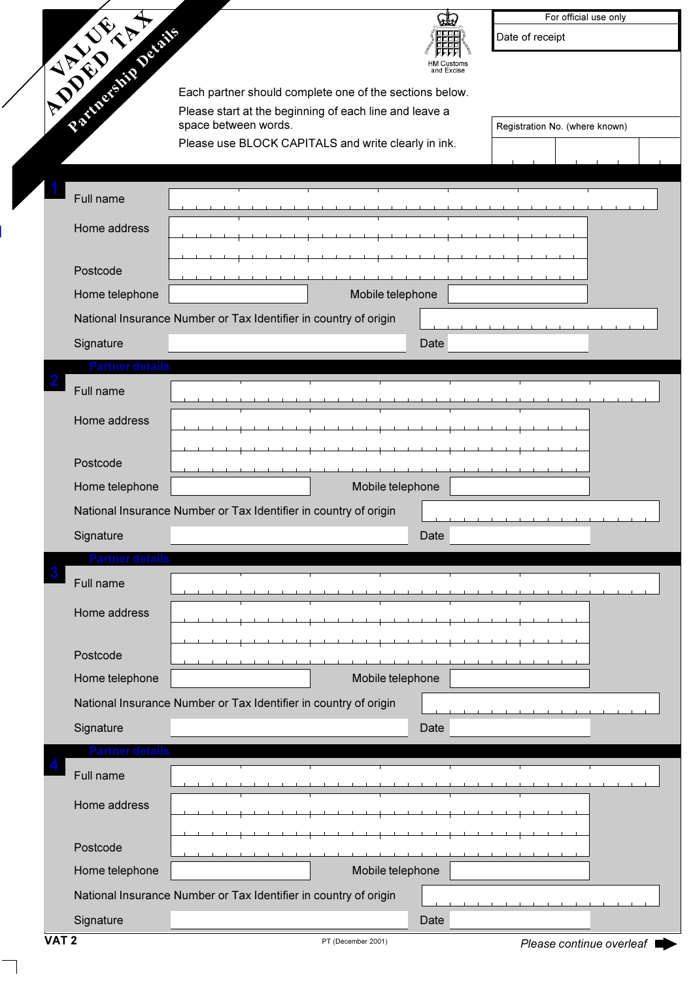|                                 |                                                                                |      | For official use only          |
|---------------------------------|--------------------------------------------------------------------------------|------|--------------------------------|
|                                 |                                                                                |      | Date of receipt                |
|                                 |                                                                                |      |                                |
|                                 | Each partner should complete one of the sections below.                        |      |                                |
| <b>CARL CARL CARL AND CARLS</b> | Please start at the beginning of each line and leave a<br>space between words. |      | Registration No. (where known) |
|                                 | Please use BLOCK CAPITALS and write clearly in ink.                            |      |                                |
|                                 |                                                                                |      |                                |
| Full name                       |                                                                                |      |                                |
| Home address                    |                                                                                |      |                                |
|                                 |                                                                                |      |                                |
| Postcode                        |                                                                                |      |                                |
| Home telephone                  | Mobile telephone                                                               |      |                                |
|                                 | National Insurance Number or Tax Identifier in country of origin               |      |                                |
| Signature                       |                                                                                | Date |                                |
| Partner detai                   |                                                                                |      |                                |
| Full name                       |                                                                                |      |                                |
| Home address                    |                                                                                |      |                                |
| Postcode                        |                                                                                |      |                                |
| Home telephone                  | Mobile telephone                                                               |      |                                |
|                                 | National Insurance Number or Tax Identifier in country of origin               |      |                                |
| Signature                       |                                                                                | Date |                                |
| Partner detail                  |                                                                                |      |                                |
| Full name                       |                                                                                |      |                                |
| Home address                    |                                                                                |      |                                |
| Postcode                        |                                                                                |      |                                |
| Home telephone                  | Mobile telephone                                                               |      |                                |
|                                 | National Insurance Number or Tax Identifier in country of origin               |      |                                |
| Signature                       |                                                                                | Date |                                |
| Partner details                 |                                                                                |      |                                |
| Full name                       |                                                                                |      |                                |
| Home address                    |                                                                                |      |                                |
|                                 |                                                                                |      |                                |
| Postcode                        |                                                                                |      |                                |
| Home telephone                  | Mobile telephone                                                               |      |                                |
|                                 | National Insurance Number or Tax Identifier in country of origin               |      |                                |
| Signature                       |                                                                                | Date |                                |

 $\overline{\phantom{0}}$ 

╭

ь